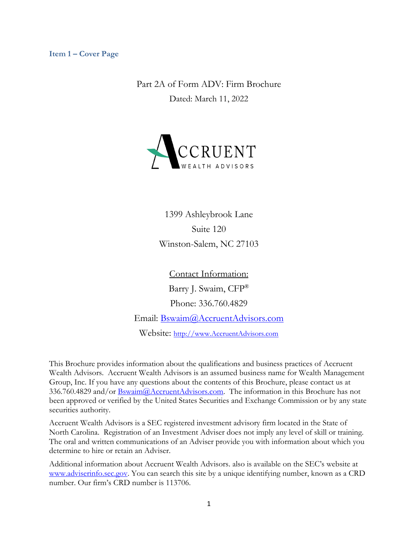## <span id="page-0-0"></span>**Item 1 – Cover Page**

Part 2A of Form ADV: Firm Brochure Dated: March 11, 2022



1399 Ashleybrook Lane Suite 120 Winston-Salem, NC 27103

Contact Information: Barry J. Swaim, CFP® Phone: 336.760.4829 Email: [Bswaim@AccruentAdvisors.com](mailto:Bswaim@AccruentAdvisors.com)

Website: [http://www.AccruentAdvisors.com](http://www.accruentadvisors.com/)

This Brochure provides information about the qualifications and business practices of Accruent Wealth Advisors. Accruent Wealth Advisors is an assumed business name for Wealth Management Group, Inc. If you have any questions about the contents of this Brochure, please contact us at 336.760.4829 and/or **Bswaim@AccruentAdvisors.com**. The information in this Brochure has not been approved or verified by the United States Securities and Exchange Commission or by any state securities authority.

Accruent Wealth Advisors is a SEC registered investment advisory firm located in the State of North Carolina. Registration of an Investment Adviser does not imply any level of skill or training. The oral and written communications of an Adviser provide you with information about which you determine to hire or retain an Adviser.

Additional information about Accruent Wealth Advisors. also is available on the SEC's website at [www.adviserinfo.sec.gov.](http://www.adviserinfo.sec.gov/) You can search this site by a unique identifying number, known as a CRD number. Our firm's CRD number is 113706.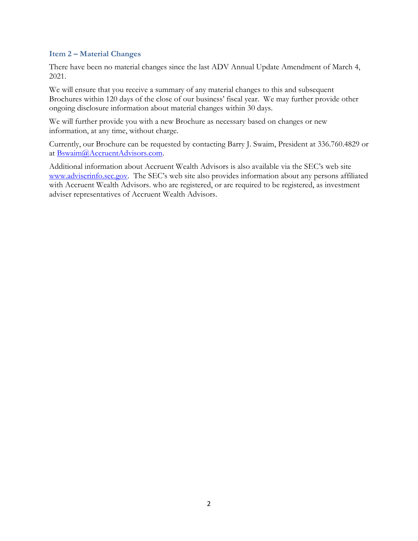## <span id="page-1-0"></span>**Item 2 – Material Changes**

There have been no material changes since the last ADV Annual Update Amendment of March 4, 2021.

We will ensure that you receive a summary of any material changes to this and subsequent Brochures within 120 days of the close of our business' fiscal year. We may further provide other ongoing disclosure information about material changes within 30 days.

We will further provide you with a new Brochure as necessary based on changes or new information, at any time, without charge.

Currently, our Brochure can be requested by contacting Barry J. Swaim, President at 336.760.4829 or at [Bswaim@AccruentAdvisors.com.](mailto:Bswaim@AccruentAdvisors.com)

Additional information about Accruent Wealth Advisors is also available via the SEC's web site [www.adviserinfo.sec.gov](http://www.adviserinfo.sec.gov/). The SEC's web site also provides information about any persons affiliated with Accruent Wealth Advisors. who are registered, or are required to be registered, as investment adviser representatives of Accruent Wealth Advisors.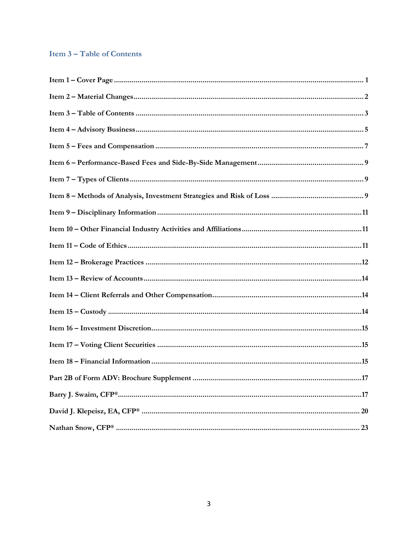# <span id="page-2-0"></span>**Item 3-Table of Contents**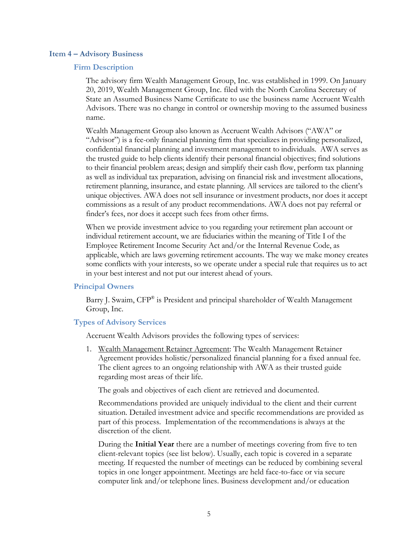#### <span id="page-3-0"></span>**Item 4 – Advisory Business**

### **Firm Description**

The advisory firm Wealth Management Group, Inc. was established in 1999. On January 20, 2019, Wealth Management Group, Inc. filed with the North Carolina Secretary of State an Assumed Business Name Certificate to use the business name Accruent Wealth Advisors. There was no change in control or ownership moving to the assumed business name.

Wealth Management Group also known as Accruent Wealth Advisors ("AWA" or "Advisor") is a fee-only financial planning firm that specializes in providing personalized, confidential financial planning and investment management to individuals. AWA serves as the trusted guide to help clients identify their personal financial objectives; find solutions to their financial problem areas; design and simplify their cash flow, perform tax planning as well as individual tax preparation, advising on financial risk and investment allocations, retirement planning, insurance, and estate planning. All services are tailored to the client's unique objectives. AWA does not sell insurance or investment products, nor does it accept commissions as a result of any product recommendations. AWA does not pay referral or finder's fees, nor does it accept such fees from other firms.

When we provide investment advice to you regarding your retirement plan account or individual retirement account, we are fiduciaries within the meaning of Title I of the Employee Retirement Income Security Act and/or the Internal Revenue Code, as applicable, which are laws governing retirement accounts. The way we make money creates some conflicts with your interests, so we operate under a special rule that requires us to act in your best interest and not put our interest ahead of yours.

#### **Principal Owners**

Barry J. Swaim, CFP® is President and principal shareholder of Wealth Management Group, Inc.

### **Types of Advisory Services**

Accruent Wealth Advisors provides the following types of services:

1. Wealth Management Retainer Agreement: The Wealth Management Retainer Agreement provides holistic/personalized financial planning for a fixed annual fee. The client agrees to an ongoing relationship with AWA as their trusted guide regarding most areas of their life.

The goals and objectives of each client are retrieved and documented.

Recommendations provided are uniquely individual to the client and their current situation. Detailed investment advice and specific recommendations are provided as part of this process. Implementation of the recommendations is always at the discretion of the client.

During the **Initial Year** there are a number of meetings covering from five to ten client-relevant topics (see list below). Usually, each topic is covered in a separate meeting. If requested the number of meetings can be reduced by combining several topics in one longer appointment. Meetings are held face-to-face or via secure computer link and/or telephone lines. Business development and/or education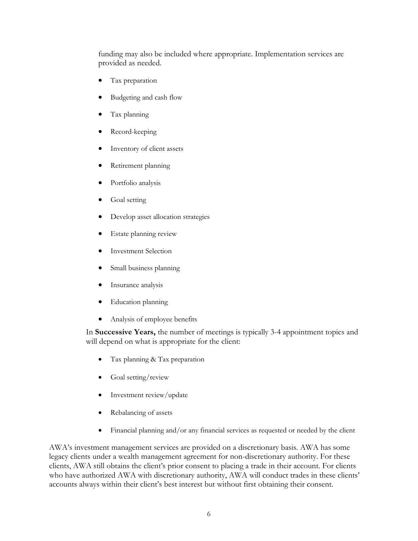funding may also be included where appropriate. Implementation services are provided as needed.

- Tax preparation
- Budgeting and cash flow
- Tax planning
- Record-keeping
- Inventory of client assets
- Retirement planning
- Portfolio analysis
- Goal setting
- Develop asset allocation strategies
- Estate planning review
- Investment Selection
- Small business planning
- Insurance analysis
- Education planning
- Analysis of employee benefits

In **Successive Years,** the number of meetings is typically 3-4 appointment topics and will depend on what is appropriate for the client:

- Tax planning & Tax preparation
- Goal setting/review
- Investment review/update
- Rebalancing of assets
- Financial planning and/or any financial services as requested or needed by the client

AWA's investment management services are provided on a discretionary basis. AWA has some legacy clients under a wealth management agreement for non-discretionary authority. For these clients, AWA still obtains the client's prior consent to placing a trade in their account. For clients who have authorized AWA with discretionary authority, AWA will conduct trades in these clients' accounts always within their client's best interest but without first obtaining their consent.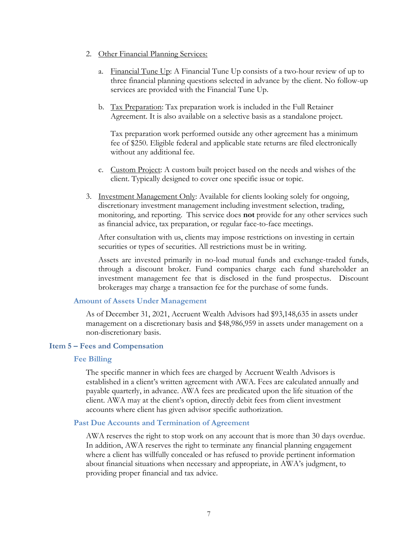- 2. Other Financial Planning Services:
	- a. Financial Tune Up: A Financial Tune Up consists of a two-hour review of up to three financial planning questions selected in advance by the client. No follow-up services are provided with the Financial Tune Up.
	- b. Tax Preparation: Tax preparation work is included in the Full Retainer Agreement. It is also available on a selective basis as a standalone project.

Tax preparation work performed outside any other agreement has a minimum fee of \$250. Eligible federal and applicable state returns are filed electronically without any additional fee.

- c. Custom Project: A custom built project based on the needs and wishes of the client. Typically designed to cover one specific issue or topic.
- 3. Investment Management Only: Available for clients looking solely for ongoing, discretionary investment management including investment selection, trading, monitoring, and reporting. This service does **not** provide for any other services such as financial advice, tax preparation, or regular face-to-face meetings.

After consultation with us, clients may impose restrictions on investing in certain securities or types of securities. All restrictions must be in writing.

Assets are invested primarily in no-load mutual funds and exchange-traded funds, through a discount broker. Fund companies charge each fund shareholder an investment management fee that is disclosed in the fund prospectus. Discount brokerages may charge a transaction fee for the purchase of some funds.

## **Amount of Assets Under Management**

As of December 31, 2021, Accruent Wealth Advisors had \$93,148,635 in assets under management on a discretionary basis and \$48,986,959 in assets under management on a non-discretionary basis.

## <span id="page-5-0"></span>**Item 5 – Fees and Compensation**

### **Fee Billing**

The specific manner in which fees are charged by Accruent Wealth Advisors is established in a client's written agreement with AWA. Fees are calculated annually and payable quarterly, in advance. AWA fees are predicated upon the life situation of the client. AWA may at the client's option, directly debit fees from client investment accounts where client has given advisor specific authorization.

## **Past Due Accounts and Termination of Agreement**

AWA reserves the right to stop work on any account that is more than 30 days overdue. In addition, AWA reserves the right to terminate any financial planning engagement where a client has willfully concealed or has refused to provide pertinent information about financial situations when necessary and appropriate, in AWA's judgment, to providing proper financial and tax advice.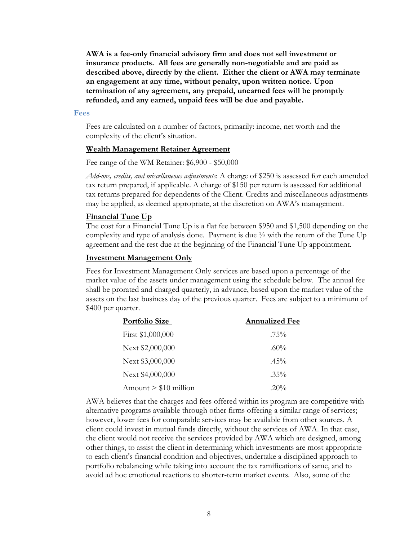**AWA is a fee-only financial advisory firm and does not sell investment or insurance products. All fees are generally non-negotiable and are paid as described above, directly by the client. Either the client or AWA may terminate an engagement at any time, without penalty, upon written notice. Upon termination of any agreement, any prepaid, unearned fees will be promptly refunded, and any earned, unpaid fees will be due and payable.**

#### **Fees**

Fees are calculated on a number of factors, primarily: income, net worth and the complexity of the client's situation.

#### **Wealth Management Retainer Agreement**

Fee range of the WM Retainer: \$6,900 - \$50,000

*Add-ons, credits, and miscellaneous adjustments*: A charge of \$250 is assessed for each amended tax return prepared, if applicable. A charge of \$150 per return is assessed for additional tax returns prepared for dependents of the Client. Credits and miscellaneous adjustments may be applied, as deemed appropriate, at the discretion on AWA's management.

#### **Financial Tune Up**

The cost for a Financial Tune Up is a flat fee between \$950 and \$1,500 depending on the complexity and type of analysis done. Payment is due  $\frac{1}{2}$  with the return of the Tune Up agreement and the rest due at the beginning of the Financial Tune Up appointment.

#### **Investment Management Only**

Fees for Investment Management Only services are based upon a percentage of the market value of the assets under management using the schedule below. The annual fee shall be prorated and charged quarterly, in advance, based upon the market value of the assets on the last business day of the previous quarter. Fees are subject to a minimum of \$400 per quarter.

| <b>Portfolio Size</b>  | <b>Annualized Fee</b> |
|------------------------|-----------------------|
| First \$1,000,000      | $.75\%$               |
| Next \$2,000,000       | $.60\%$               |
| Next \$3,000,000       | $.45\%$               |
| Next \$4,000,000       | $.35\%$               |
| Amount $> $10$ million | $.20\%$               |

AWA believes that the charges and fees offered within its program are competitive with alternative programs available through other firms offering a similar range of services; however, lower fees for comparable services may be available from other sources. A client could invest in mutual funds directly, without the services of AWA. In that case, the client would not receive the services provided by AWA which are designed, among other things, to assist the client in determining which investments are most appropriate to each client's financial condition and objectives, undertake a disciplined approach to portfolio rebalancing while taking into account the tax ramifications of same, and to avoid ad hoc emotional reactions to shorter-term market events. Also, some of the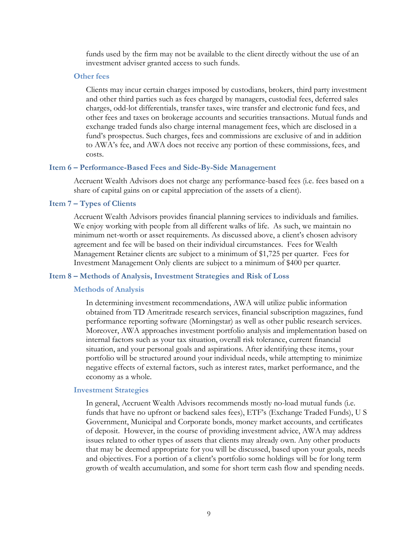funds used by the firm may not be available to the client directly without the use of an investment adviser granted access to such funds.

#### **Other fees**

Clients may incur certain charges imposed by custodians, brokers, third party investment and other third parties such as fees charged by managers, custodial fees, deferred sales charges, odd-lot differentials, transfer taxes, wire transfer and electronic fund fees, and other fees and taxes on brokerage accounts and securities transactions. Mutual funds and exchange traded funds also charge internal management fees, which are disclosed in a fund's prospectus. Such charges, fees and commissions are exclusive of and in addition to AWA's fee, and AWA does not receive any portion of these commissions, fees, and costs.

### <span id="page-7-0"></span>**Item 6 – Performance-Based Fees and Side-By-Side Management**

Accruent Wealth Advisors does not charge any performance-based fees (i.e. fees based on a share of capital gains on or capital appreciation of the assets of a client).

# <span id="page-7-1"></span>**Item 7 – Types of Clients**

Accruent Wealth Advisors provides financial planning services to individuals and families. We enjoy working with people from all different walks of life. As such, we maintain no minimum net-worth or asset requirements. As discussed above, a client's chosen advisory agreement and fee will be based on their individual circumstances. Fees for Wealth Management Retainer clients are subject to a minimum of \$1,725 per quarter. Fees for Investment Management Only clients are subject to a minimum of \$400 per quarter.

#### <span id="page-7-2"></span>**Item 8 – Methods of Analysis, Investment Strategies and Risk of Loss**

#### **Methods of Analysis**

In determining investment recommendations, AWA will utilize public information obtained from TD Ameritrade research services, financial subscription magazines, fund performance reporting software (Morningstar) as well as other public research services. Moreover, AWA approaches investment portfolio analysis and implementation based on internal factors such as your tax situation, overall risk tolerance, current financial situation, and your personal goals and aspirations. After identifying these items, your portfolio will be structured around your individual needs, while attempting to minimize negative effects of external factors, such as interest rates, market performance, and the economy as a whole.

#### **Investment Strategies**

In general, Accruent Wealth Advisors recommends mostly no-load mutual funds (i.e. funds that have no upfront or backend sales fees), ETF's (Exchange Traded Funds), U S Government, Municipal and Corporate bonds, money market accounts, and certificates of deposit. However, in the course of providing investment advice, AWA may address issues related to other types of assets that clients may already own. Any other products that may be deemed appropriate for you will be discussed, based upon your goals, needs and objectives. For a portion of a client's portfolio some holdings will be for long term growth of wealth accumulation, and some for short term cash flow and spending needs.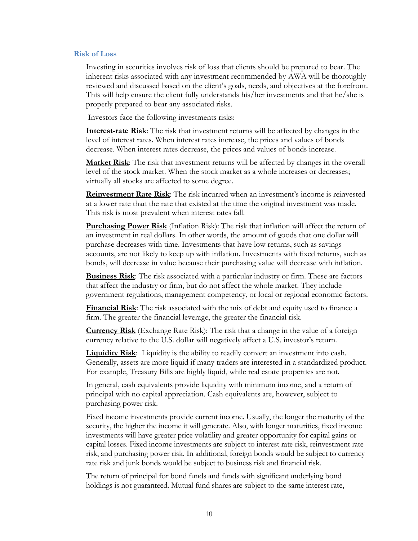#### **Risk of Loss**

Investing in securities involves risk of loss that clients should be prepared to bear. The inherent risks associated with any investment recommended by AWA will be thoroughly reviewed and discussed based on the client's goals, needs, and objectives at the forefront. This will help ensure the client fully understands his/her investments and that he/she is properly prepared to bear any associated risks.

Investors face the following investments risks:

**Interest-rate Risk**: The risk that investment returns will be affected by changes in the level of interest rates. When interest rates increase, the prices and values of bonds decrease. When interest rates decrease, the prices and values of bonds increase.

**Market Risk**: The risk that investment returns will be affected by changes in the overall level of the stock market. When the stock market as a whole increases or decreases; virtually all stocks are affected to some degree.

**Reinvestment Rate Risk**: The risk incurred when an investment's income is reinvested at a lower rate than the rate that existed at the time the original investment was made. This risk is most prevalent when interest rates fall.

**Purchasing Power Risk** (Inflation Risk): The risk that inflation will affect the return of an investment in real dollars. In other words, the amount of goods that one dollar will purchase decreases with time. Investments that have low returns, such as savings accounts, are not likely to keep up with inflation. Investments with fixed returns, such as bonds, will decrease in value because their purchasing value will decrease with inflation.

**Business Risk**: The risk associated with a particular industry or firm. These are factors that affect the industry or firm, but do not affect the whole market. They include government regulations, management competency, or local or regional economic factors.

**Financial Risk**: The risk associated with the mix of debt and equity used to finance a firm. The greater the financial leverage, the greater the financial risk.

**Currency Risk** (Exchange Rate Risk): The risk that a change in the value of a foreign currency relative to the U.S. dollar will negatively affect a U.S. investor's return.

**Liquidity Risk**: Liquidity is the ability to readily convert an investment into cash. Generally, assets are more liquid if many traders are interested in a standardized product. For example, Treasury Bills are highly liquid, while real estate properties are not.

In general, cash equivalents provide liquidity with minimum income, and a return of principal with no capital appreciation. Cash equivalents are, however, subject to purchasing power risk.

Fixed income investments provide current income. Usually, the longer the maturity of the security, the higher the income it will generate. Also, with longer maturities, fixed income investments will have greater price volatility and greater opportunity for capital gains or capital losses. Fixed income investments are subject to interest rate risk, reinvestment rate risk, and purchasing power risk. In additional, foreign bonds would be subject to currency rate risk and junk bonds would be subject to business risk and financial risk.

The return of principal for bond funds and funds with significant underlying bond holdings is not guaranteed. Mutual fund shares are subject to the same interest rate,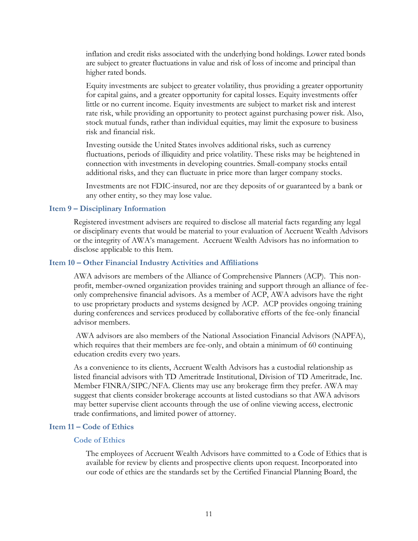inflation and credit risks associated with the underlying bond holdings. Lower rated bonds are subject to greater fluctuations in value and risk of loss of income and principal than higher rated bonds.

Equity investments are subject to greater volatility, thus providing a greater opportunity for capital gains, and a greater opportunity for capital losses. Equity investments offer little or no current income. Equity investments are subject to market risk and interest rate risk, while providing an opportunity to protect against purchasing power risk. Also, stock mutual funds, rather than individual equities, may limit the exposure to business risk and financial risk.

Investing outside the United States involves additional risks, such as currency fluctuations, periods of illiquidity and price volatility. These risks may be heightened in connection with investments in developing countries. Small-company stocks entail additional risks, and they can fluctuate in price more than larger company stocks.

Investments are not FDIC-insured, nor are they deposits of or guaranteed by a bank or any other entity, so they may lose value.

## <span id="page-9-0"></span>**Item 9 – Disciplinary Information**

Registered investment advisers are required to disclose all material facts regarding any legal or disciplinary events that would be material to your evaluation of Accruent Wealth Advisors or the integrity of AWA's management. Accruent Wealth Advisors has no information to disclose applicable to this Item.

## <span id="page-9-1"></span>**Item 10 – Other Financial Industry Activities and Affiliations**

AWA advisors are members of the Alliance of Comprehensive Planners (ACP). This nonprofit, member-owned organization provides training and support through an alliance of feeonly comprehensive financial advisors. As a member of ACP, AWA advisors have the right to use proprietary products and systems designed by ACP. ACP provides ongoing training during conferences and services produced by collaborative efforts of the fee-only financial advisor members.

AWA advisors are also members of the National Association Financial Advisors (NAPFA), which requires that their members are fee-only, and obtain a minimum of 60 continuing education credits every two years.

As a convenience to its clients, Accruent Wealth Advisors has a custodial relationship as listed financial advisors with TD Ameritrade Institutional, Division of TD Ameritrade, Inc. Member FINRA/SIPC/NFA. Clients may use any brokerage firm they prefer. AWA may suggest that clients consider brokerage accounts at listed custodians so that AWA advisors may better supervise client accounts through the use of online viewing access, electronic trade confirmations, and limited power of attorney.

### <span id="page-9-2"></span>**Item 11 – Code of Ethics**

### **Code of Ethics**

The employees of Accruent Wealth Advisors have committed to a Code of Ethics that is available for review by clients and prospective clients upon request. Incorporated into our code of ethics are the standards set by the Certified Financial Planning Board, the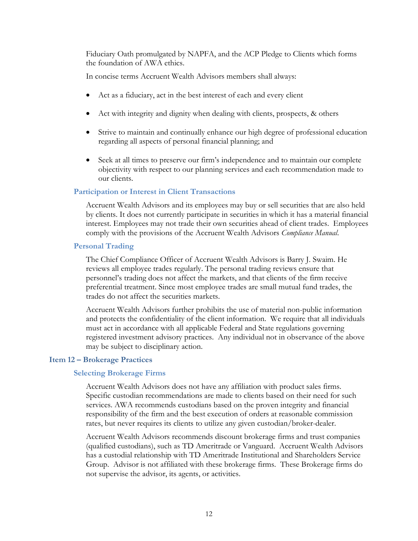Fiduciary Oath promulgated by NAPFA, and the ACP Pledge to Clients which forms the foundation of AWA ethics.

In concise terms Accruent Wealth Advisors members shall always:

- Act as a fiduciary, act in the best interest of each and every client
- Act with integrity and dignity when dealing with clients, prospects, & others
- Strive to maintain and continually enhance our high degree of professional education regarding all aspects of personal financial planning; and
- Seek at all times to preserve our firm's independence and to maintain our complete objectivity with respect to our planning services and each recommendation made to our clients.

## **Participation or Interest in Client Transactions**

Accruent Wealth Advisors and its employees may buy or sell securities that are also held by clients. It does not currently participate in securities in which it has a material financial interest. Employees may not trade their own securities ahead of client trades. Employees comply with the provisions of the Accruent Wealth Advisors *Compliance Manual*.

### **Personal Trading**

The Chief Compliance Officer of Accruent Wealth Advisors is Barry J. Swaim. He reviews all employee trades regularly. The personal trading reviews ensure that personnel's trading does not affect the markets, and that clients of the firm receive preferential treatment. Since most employee trades are small mutual fund trades, the trades do not affect the securities markets.

Accruent Wealth Advisors further prohibits the use of material non-public information and protects the confidentiality of the client information. We require that all individuals must act in accordance with all applicable Federal and State regulations governing registered investment advisory practices. Any individual not in observance of the above may be subject to disciplinary action.

#### <span id="page-10-0"></span>**Item 12 – Brokerage Practices**

#### **Selecting Brokerage Firms**

Accruent Wealth Advisors does not have any affiliation with product sales firms. Specific custodian recommendations are made to clients based on their need for such services. AWA recommends custodians based on the proven integrity and financial responsibility of the firm and the best execution of orders at reasonable commission rates, but never requires its clients to utilize any given custodian/broker-dealer.

Accruent Wealth Advisors recommends discount brokerage firms and trust companies (qualified custodians), such as TD Ameritrade or Vanguard. Accruent Wealth Advisors has a custodial relationship with TD Ameritrade Institutional and Shareholders Service Group. Advisor is not affiliated with these brokerage firms. These Brokerage firms do not supervise the advisor, its agents, or activities.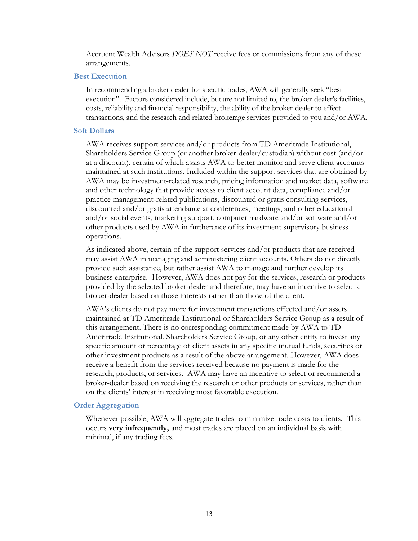Accruent Wealth Advisors *DOES NOT* receive fees or commissions from any of these arrangements.

#### **Best Execution**

In recommending a broker dealer for specific trades, AWA will generally seek "best execution". Factors considered include, but are not limited to, the broker-dealer's facilities, costs, reliability and financial responsibility, the ability of the broker-dealer to effect transactions, and the research and related brokerage services provided to you and/or AWA.

#### **Soft Dollars**

AWA receives support services and/or products from TD Ameritrade Institutional, Shareholders Service Group (or another broker-dealer/custodian) without cost (and/or at a discount), certain of which assists AWA to better monitor and serve client accounts maintained at such institutions. Included within the support services that are obtained by AWA may be investment-related research, pricing information and market data, software and other technology that provide access to client account data, compliance and/or practice management-related publications, discounted or gratis consulting services, discounted and/or gratis attendance at conferences, meetings, and other educational and/or social events, marketing support, computer hardware and/or software and/or other products used by AWA in furtherance of its investment supervisory business operations.

As indicated above, certain of the support services and/or products that are received may assist AWA in managing and administering client accounts. Others do not directly provide such assistance, but rather assist AWA to manage and further develop its business enterprise. However, AWA does not pay for the services, research or products provided by the selected broker-dealer and therefore, may have an incentive to select a broker-dealer based on those interests rather than those of the client.

AWA's clients do not pay more for investment transactions effected and/or assets maintained at TD Ameritrade Institutional or Shareholders Service Group as a result of this arrangement. There is no corresponding commitment made by AWA to TD Ameritrade Institutional, Shareholders Service Group, or any other entity to invest any specific amount or percentage of client assets in any specific mutual funds, securities or other investment products as a result of the above arrangement. However, AWA does receive a benefit from the services received because no payment is made for the research, products, or services. AWA may have an incentive to select or recommend a broker-dealer based on receiving the research or other products or services, rather than on the clients' interest in receiving most favorable execution.

### **Order Aggregation**

Whenever possible, AWA will aggregate trades to minimize trade costs to clients. This occurs **very infrequently,** and most trades are placed on an individual basis with minimal, if any trading fees.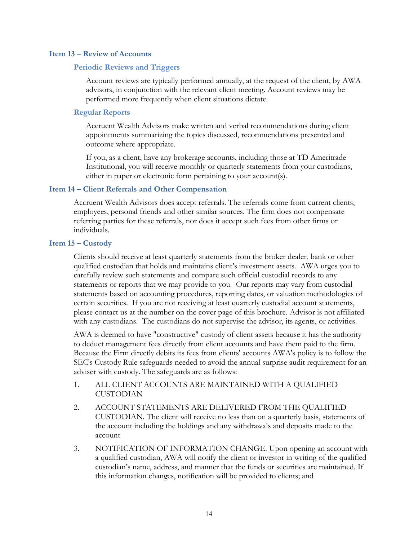## <span id="page-12-0"></span>**Item 13 – Review of Accounts**

## **Periodic Reviews and Triggers**

Account reviews are typically performed annually, at the request of the client, by AWA advisors, in conjunction with the relevant client meeting. Account reviews may be performed more frequently when client situations dictate.

## **Regular Reports**

Accruent Wealth Advisors make written and verbal recommendations during client appointments summarizing the topics discussed, recommendations presented and outcome where appropriate.

If you, as a client, have any brokerage accounts, including those at TD Ameritrade Institutional, you will receive monthly or quarterly statements from your custodians, either in paper or electronic form pertaining to your account(s).

## <span id="page-12-1"></span>**Item 14 – Client Referrals and Other Compensation**

Accruent Wealth Advisors does accept referrals. The referrals come from current clients, employees, personal friends and other similar sources. The firm does not compensate referring parties for these referrals, nor does it accept such fees from other firms or individuals.

## <span id="page-12-2"></span>**Item 15 – Custody**

Clients should receive at least quarterly statements from the broker dealer, bank or other qualified custodian that holds and maintains client's investment assets. AWA urges you to carefully review such statements and compare such official custodial records to any statements or reports that we may provide to you. Our reports may vary from custodial statements based on accounting procedures, reporting dates, or valuation methodologies of certain securities. If you are not receiving at least quarterly custodial account statements, please contact us at the number on the cover page of this brochure. Advisor is not affiliated with any custodians. The custodians do not supervise the advisor, its agents, or activities.

AWA is deemed to have "constructive" custody of client assets because it has the authority to deduct management fees directly from client accounts and have them paid to the firm*.* Because the Firm directly debits its fees from clients' accounts AWA's policy is to follow the SEC's Custody Rule safeguards needed to avoid the annual surprise audit requirement for an adviser with custody. The safeguards are as follows:

- 1. ALL CLIENT ACCOUNTS ARE MAINTAINED WITH A QUALIFIED CUSTODIAN
- 2. ACCOUNT STATEMENTS ARE DELIVERED FROM THE QUALIFIED CUSTODIAN. The client will receive no less than on a quarterly basis, statements of the account including the holdings and any withdrawals and deposits made to the account
- 3. NOTIFICATION OF INFORMATION CHANGE. Upon opening an account with a qualified custodian, AWA will notify the client or investor in writing of the qualified custodian's name, address, and manner that the funds or securities are maintained. If this information changes, notification will be provided to clients; and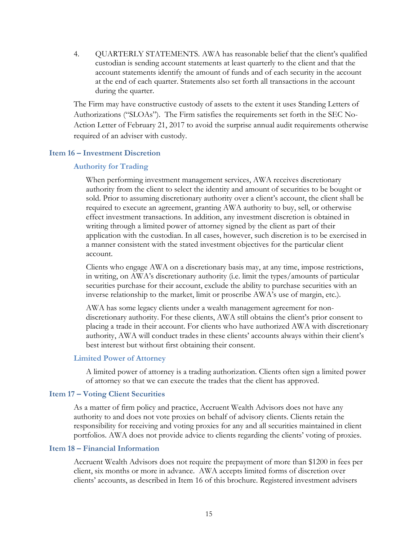4. QUARTERLY STATEMENTS. AWA has reasonable belief that the client's qualified custodian is sending account statements at least quarterly to the client and that the account statements identify the amount of funds and of each security in the account at the end of each quarter. Statements also set forth all transactions in the account during the quarter.

The Firm may have constructive custody of assets to the extent it uses Standing Letters of Authorizations ("SLOAs"). The Firm satisfies the requirements set forth in the SEC No-Action Letter of February 21, 2017 to avoid the surprise annual audit requirements otherwise required of an adviser with custody.

## <span id="page-13-0"></span>**Item 16 – Investment Discretion**

## **Authority for Trading**

When performing investment management services, AWA receives discretionary authority from the client to select the identity and amount of securities to be bought or sold. Prior to assuming discretionary authority over a client's account, the client shall be required to execute an agreement, granting AWA authority to buy, sell, or otherwise effect investment transactions. In addition, any investment discretion is obtained in writing through a limited power of attorney signed by the client as part of their application with the custodian. In all cases, however, such discretion is to be exercised in a manner consistent with the stated investment objectives for the particular client account.

Clients who engage AWA on a discretionary basis may, at any time, impose restrictions, in writing, on AWA's discretionary authority (i.e. limit the types/amounts of particular securities purchase for their account, exclude the ability to purchase securities with an inverse relationship to the market, limit or proscribe AWA's use of margin, etc.).

AWA has some legacy clients under a wealth management agreement for nondiscretionary authority. For these clients, AWA still obtains the client's prior consent to placing a trade in their account. For clients who have authorized AWA with discretionary authority, AWA will conduct trades in these clients' accounts always within their client's best interest but without first obtaining their consent.

## **Limited Power of Attorney**

A limited power of attorney is a trading authorization. Clients often sign a limited power of attorney so that we can execute the trades that the client has approved.

## <span id="page-13-1"></span>**Item 17 – Voting Client Securities**

As a matter of firm policy and practice, Accruent Wealth Advisors does not have any authority to and does not vote proxies on behalf of advisory clients. Clients retain the responsibility for receiving and voting proxies for any and all securities maintained in client portfolios. AWA does not provide advice to clients regarding the clients' voting of proxies.

## <span id="page-13-2"></span>**Item 18 – Financial Information**

Accruent Wealth Advisors does not require the prepayment of more than \$1200 in fees per client, six months or more in advance. AWA accepts limited forms of discretion over clients' accounts, as described in Item 16 of this brochure. Registered investment advisers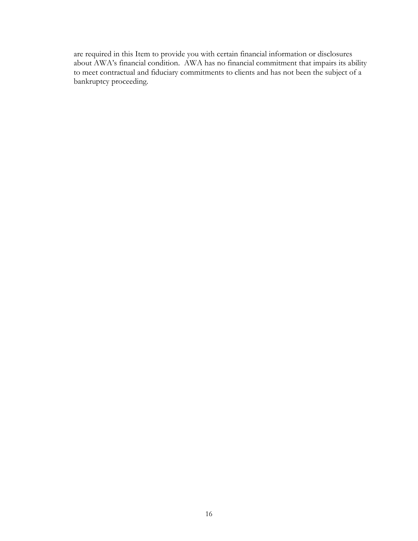are required in this Item to provide you with certain financial information or disclosures about AWA's financial condition. AWA has no financial commitment that impairs its ability to meet contractual and fiduciary commitments to clients and has not been the subject of a bankruptcy proceeding.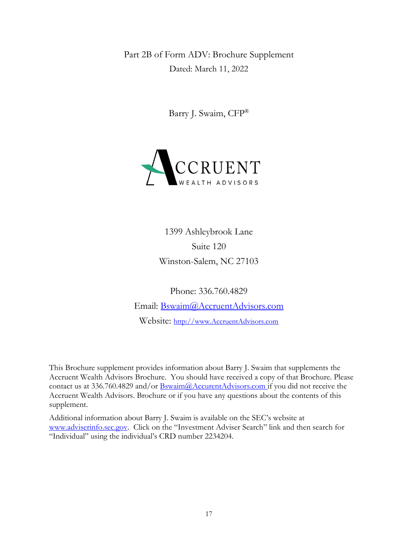<span id="page-15-0"></span>Part 2B of Form ADV: Brochure Supplement Dated: March 11, 2022

Barry J. Swaim, CFP®

<span id="page-15-1"></span>

1399 Ashleybrook Lane Suite 120 Winston-Salem, NC 27103

Phone: 336.760.4829 Email: [Bswaim@AccruentAdvisors.com](mailto:Bswaim@AccruentAdvisors.com) Website: [http://www.AccruentAdvisors.com](http://www.accruentadvisors.com/)

This Brochure supplement provides information about Barry J. Swaim that supplements the Accruent Wealth Advisors Brochure. You should have received a copy of that Brochure. Please contact us at 336.760.4829 and/or **Bswaim@AccurentAdvisors.com** if you did not receive the Accruent Wealth Advisors. Brochure or if you have any questions about the contents of this supplement.

Additional information about Barry J. Swaim is available on the SEC's website at [www.adviserinfo.sec.gov.](http://www.adviserinfo.sec.gov/) Click on the "Investment Adviser Search" link and then search for "Individual" using the individual's CRD number 2234204.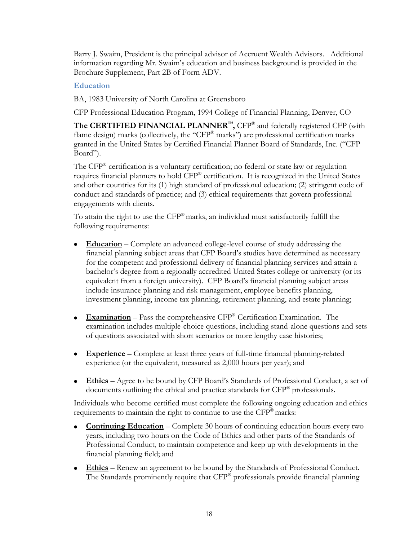Barry J. Swaim, President is the principal advisor of Accruent Wealth Advisors. Additional information regarding Mr. Swaim's education and business background is provided in the Brochure Supplement, Part 2B of Form ADV.

# **Education**

BA, 1983 University of North Carolina at Greensboro

CFP Professional Education Program, 1994 College of Financial Planning, Denver, CO

**The CERTIFIED FINANCIAL PLANNER™,** CFP® and federally registered CFP (with flame design) marks (collectively, the "CFP<sup>®</sup> marks") are professional certification marks granted in the United States by Certified Financial Planner Board of Standards, Inc. ("CFP Board").

The CFP® certification is a voluntary certification; no federal or state law or regulation requires financial planners to hold CFP® certification. It is recognized in the United States and other countries for its (1) high standard of professional education; (2) stringent code of conduct and standards of practice; and (3) ethical requirements that govern professional engagements with clients.

To attain the right to use the CFP® marks, an individual must satisfactorily fulfill the following requirements:

- **Education** Complete an advanced college-level course of study addressing the financial planning subject areas that CFP Board's studies have determined as necessary for the competent and professional delivery of financial planning services and attain a bachelor's degree from a regionally accredited United States college or university (or its equivalent from a foreign university). CFP Board's financial planning subject areas include insurance planning and risk management, employee benefits planning, investment planning, income tax planning, retirement planning, and estate planning;
- **Examination** Pass the comprehensive CFP® Certification Examination. The examination includes multiple-choice questions, including stand-alone questions and sets of questions associated with short scenarios or more lengthy case histories;
- **Experience** Complete at least three years of full-time financial planning-related experience (or the equivalent, measured as 2,000 hours per year); and
- **Ethics** Agree to be bound by CFP Board's Standards of Professional Conduct, a set of documents outlining the ethical and practice standards for CFP® professionals.

Individuals who become certified must complete the following ongoing education and ethics requirements to maintain the right to continue to use the  $\text{CFP}^{\otimes}$  marks:

- **Continuing Education** Complete 30 hours of continuing education hours every two years, including two hours on the Code of Ethics and other parts of the Standards of Professional Conduct, to maintain competence and keep up with developments in the financial planning field; and
- **Ethics** Renew an agreement to be bound by the Standards of Professional Conduct. The Standards prominently require that CFP® professionals provide financial planning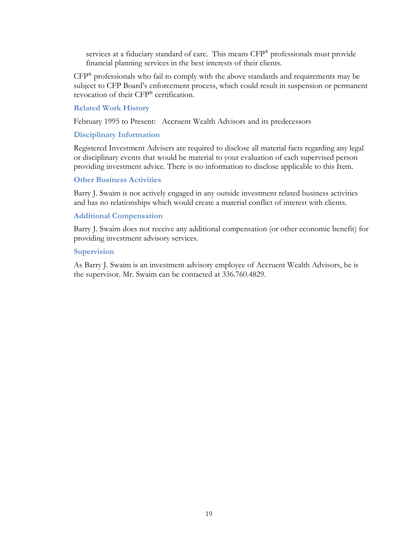services at a fiduciary standard of care. This means CFP® professionals must provide financial planning services in the best interests of their clients.

CFP® professionals who fail to comply with the above standards and requirements may be subject to CFP Board's enforcement process, which could result in suspension or permanent revocation of their CFP® certification.

## **Related Work History**

February 1995 to Present: Accruent Wealth Advisors and its predecessors

## **Disciplinary Information**

Registered Investment Advisers are required to disclose all material facts regarding any legal or disciplinary events that would be material to your evaluation of each supervised person providing investment advice. There is no information to disclose applicable to this Item.

## **Other Business Activities**

Barry J. Swaim is not actively engaged in any outside investment related business activities and has no relationships which would create a material conflict of interest with clients.

## **Additional Compensation**

Barry J. Swaim does not receive any additional compensation (or other economic benefit) for providing investment advisory services.

## **Supervision**

As Barry J. Swaim is an investment advisory employee of Accruent Wealth Advisors, he is the supervisor. Mr. Swaim can be contacted at 336.760.4829.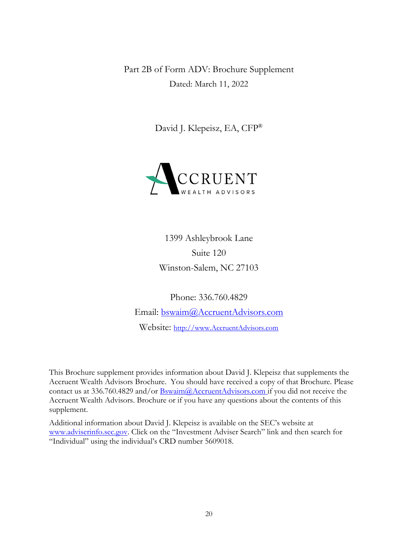<span id="page-18-0"></span>Part 2B of Form ADV: Brochure Supplement Dated: March 11, 2022

David J. Klepeisz, EA, CFP®



1399 Ashleybrook Lane Suite 120 Winston-Salem, NC 27103

Phone: 336.760.4829

Email: [bswaim@AccruentAdvisors.com](mailto:bswaim@AccruentAdvisors.com) Website: [http://www.AccruentAdvisors.com](http://www.accruentadvisors.com/)

This Brochure supplement provides information about David J. Klepeisz that supplements the Accruent Wealth Advisors Brochure. You should have received a copy of that Brochure. Please contact us at 336.760.4829 and/or [Bswaim@AccruentAdvisors.com](mailto:Bswaim@AccruentAdvisors.com) if you did not receive the Accruent Wealth Advisors. Brochure or if you have any questions about the contents of this supplement.

Additional information about David J. Klepeisz is available on the SEC's website at [www.adviserinfo.sec.gov.](http://www.adviserinfo.sec.gov/) Click on the "Investment Adviser Search" link and then search for "Individual" using the individual's CRD number 5609018.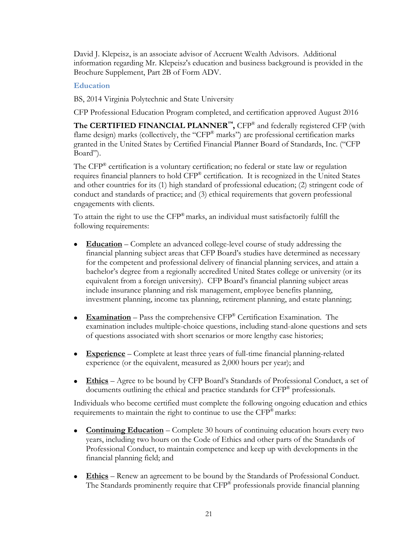David J. Klepeisz, is an associate advisor of Accruent Wealth Advisors. Additional information regarding Mr. Klepeisz's education and business background is provided in the Brochure Supplement, Part 2B of Form ADV.

# **Education**

BS, 2014 Virginia Polytechnic and State University

CFP Professional Education Program completed, and certification approved August 2016

**The CERTIFIED FINANCIAL PLANNER™,** CFP® and federally registered CFP (with flame design) marks (collectively, the "CFP<sup>®</sup> marks") are professional certification marks granted in the United States by Certified Financial Planner Board of Standards, Inc. ("CFP Board").

The CFP® certification is a voluntary certification; no federal or state law or regulation requires financial planners to hold CFP® certification. It is recognized in the United States and other countries for its (1) high standard of professional education; (2) stringent code of conduct and standards of practice; and (3) ethical requirements that govern professional engagements with clients.

To attain the right to use the CFP® marks, an individual must satisfactorily fulfill the following requirements:

- **Education** Complete an advanced college-level course of study addressing the financial planning subject areas that CFP Board's studies have determined as necessary for the competent and professional delivery of financial planning services, and attain a bachelor's degree from a regionally accredited United States college or university (or its equivalent from a foreign university). CFP Board's financial planning subject areas include insurance planning and risk management, employee benefits planning, investment planning, income tax planning, retirement planning, and estate planning;
- **Examination** Pass the comprehensive CFP® Certification Examination. The examination includes multiple-choice questions, including stand-alone questions and sets of questions associated with short scenarios or more lengthy case histories;
- **Experience** Complete at least three years of full-time financial planning-related experience (or the equivalent, measured as 2,000 hours per year); and
- **Ethics** Agree to be bound by CFP Board's Standards of Professional Conduct, a set of documents outlining the ethical and practice standards for CFP® professionals.

Individuals who become certified must complete the following ongoing education and ethics requirements to maintain the right to continue to use the  $\text{CFP}^{\otimes}$  marks:

- **Continuing Education** Complete 30 hours of continuing education hours every two years, including two hours on the Code of Ethics and other parts of the Standards of Professional Conduct, to maintain competence and keep up with developments in the financial planning field; and
- **Ethics** Renew an agreement to be bound by the Standards of Professional Conduct. The Standards prominently require that CFP® professionals provide financial planning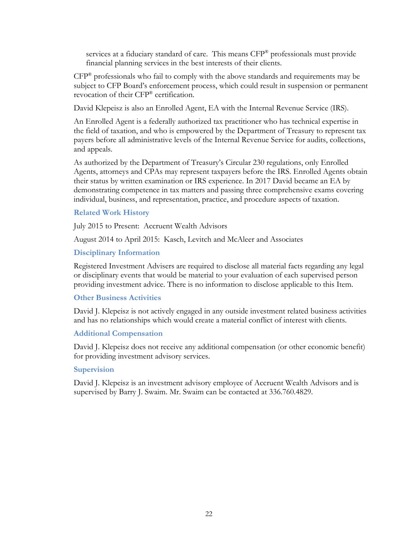services at a fiduciary standard of care. This means CFP<sup>®</sup> professionals must provide financial planning services in the best interests of their clients.

 $CFP^®$  professionals who fail to comply with the above standards and requirements may be subject to CFP Board's enforcement process, which could result in suspension or permanent revocation of their CFP® certification.

David Klepeisz is also an Enrolled Agent, EA with the Internal Revenue Service (IRS).

An Enrolled Agent is a federally authorized tax practitioner who has technical expertise in the field of taxation, and who is empowered by the Department of Treasury to represent tax payers before all administrative levels of the Internal Revenue Service for audits, collections, and appeals.

As authorized by the Department of Treasury's Circular 230 regulations, only Enrolled Agents, attorneys and CPAs may represent taxpayers before the IRS. Enrolled Agents obtain their status by written examination or IRS experience. In 2017 David became an EA by demonstrating competence in tax matters and passing three comprehensive exams covering individual, business, and representation, practice, and procedure aspects of taxation.

## **Related Work History**

July 2015 to Present: Accruent Wealth Advisors

August 2014 to April 2015: Kasch, Levitch and McAleer and Associates

# **Disciplinary Information**

Registered Investment Advisers are required to disclose all material facts regarding any legal or disciplinary events that would be material to your evaluation of each supervised person providing investment advice. There is no information to disclose applicable to this Item.

## **Other Business Activities**

David J. Klepeisz is not actively engaged in any outside investment related business activities and has no relationships which would create a material conflict of interest with clients.

# **Additional Compensation**

David J. Klepeisz does not receive any additional compensation (or other economic benefit) for providing investment advisory services.

## **Supervision**

David J. Klepeisz is an investment advisory employee of Accruent Wealth Advisors and is supervised by Barry J. Swaim. Mr. Swaim can be contacted at 336.760.4829.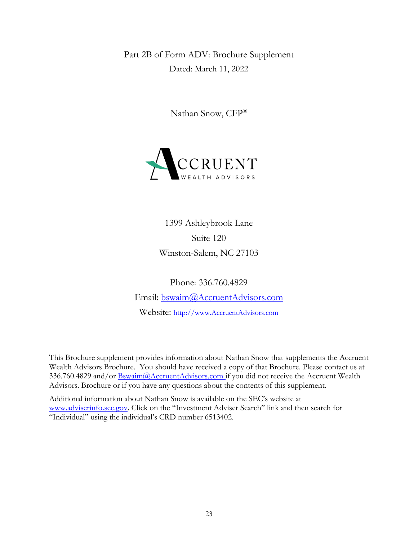<span id="page-21-0"></span>Part 2B of Form ADV: Brochure Supplement Dated: March 11, 2022

Nathan Snow, CFP®



1399 Ashleybrook Lane Suite 120 Winston-Salem, NC 27103

Phone: 336.760.4829 Email: [bswaim@AccruentAdvisors.com](mailto:bswaim@AccruentAdvisors.com) Website: [http://www.AccruentAdvisors.com](http://www.accruentadvisors.com/)

This Brochure supplement provides information about Nathan Snow that supplements the Accruent Wealth Advisors Brochure. You should have received a copy of that Brochure. Please contact us at 336.760.4829 and/or **Bswaim**@AccruentAdvisors.com if you did not receive the Accruent Wealth Advisors. Brochure or if you have any questions about the contents of this supplement.

Additional information about Nathan Snow is available on the SEC's website at [www.adviserinfo.sec.gov.](http://www.adviserinfo.sec.gov/) Click on the "Investment Adviser Search" link and then search for "Individual" using the individual's CRD number 6513402.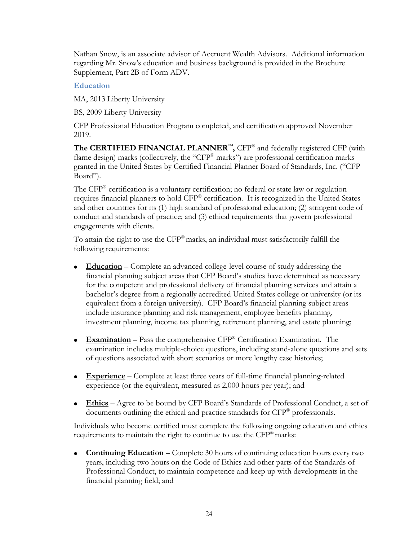Nathan Snow, is an associate advisor of Accruent Wealth Advisors. Additional information regarding Mr. Snow's education and business background is provided in the Brochure Supplement, Part 2B of Form ADV.

# **Education**

MA, 2013 Liberty University

BS, 2009 Liberty University

CFP Professional Education Program completed, and certification approved November 2019.

**The CERTIFIED FINANCIAL PLANNER™,** CFP® and federally registered CFP (with flame design) marks (collectively, the "CFP® marks") are professional certification marks granted in the United States by Certified Financial Planner Board of Standards, Inc. ("CFP Board").

The CFP® certification is a voluntary certification; no federal or state law or regulation requires financial planners to hold CFP® certification. It is recognized in the United States and other countries for its (1) high standard of professional education; (2) stringent code of conduct and standards of practice; and (3) ethical requirements that govern professional engagements with clients.

To attain the right to use the CFP® marks, an individual must satisfactorily fulfill the following requirements:

- **Education** Complete an advanced college-level course of study addressing the financial planning subject areas that CFP Board's studies have determined as necessary for the competent and professional delivery of financial planning services and attain a bachelor's degree from a regionally accredited United States college or university (or its equivalent from a foreign university). CFP Board's financial planning subject areas include insurance planning and risk management, employee benefits planning, investment planning, income tax planning, retirement planning, and estate planning;
- **Examination** Pass the comprehensive CFP® Certification Examination. The examination includes multiple-choice questions, including stand-alone questions and sets of questions associated with short scenarios or more lengthy case histories;
- **Experience** Complete at least three years of full-time financial planning-related experience (or the equivalent, measured as 2,000 hours per year); and
- **Ethics** Agree to be bound by CFP Board's Standards of Professional Conduct, a set of documents outlining the ethical and practice standards for CFP® professionals.

Individuals who become certified must complete the following ongoing education and ethics requirements to maintain the right to continue to use the CFP<sup>®</sup> marks:

• **Continuing Education** – Complete 30 hours of continuing education hours every two years, including two hours on the Code of Ethics and other parts of the Standards of Professional Conduct, to maintain competence and keep up with developments in the financial planning field; and